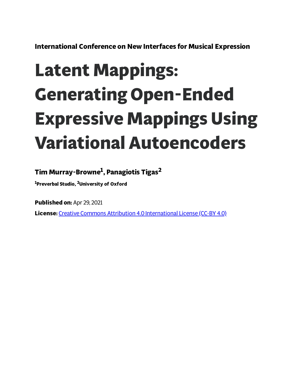**International Conference on New Interfaces for Musical Expression**

# **Latent Mappings: Generating Open-Ended Expressive Mappings Using Variational Autoencoders**

## **Tim Murray-Browne 1 , Panagiotis Tigas 2**

**<sup>1</sup>Preverbal Studio, <sup>2</sup>University of Oxford**

**Published on:** Apr 29, 2021

**License:** Creative Commons Attribution 4.0 [International](https://creativecommons.org/licenses/by/4.0/) License (CC-BY 4.0)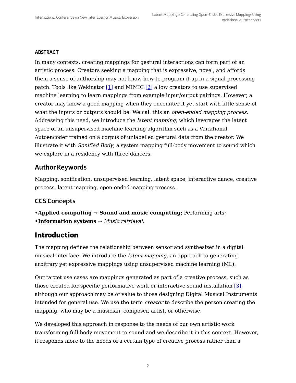#### **ABSTRACT**

<span id="page-1-1"></span><span id="page-1-0"></span>In many contexts, creating mappings for gestural interactions can form part of an artistic process. Creators seeking a mapping that is expressive, novel, and affords them a sense of authorship may not know how to program it up in a signal processing patch. Tools like Wekinator  $[1]$  and MIMIC  $[2]$  allow creators to use supervised machine learning to learn mappings from example input/output pairings. However, a creator may know a good mapping when they encounter it yet start with little sense of what the inputs or outputs should be. We call this an *open-ended mapping process*. Addressing this need, we introduce the latent mapping, which leverages the latent space of an unsupervised machine learning algorithm such as a Variational Autoencoder trained on a corpus of unlabelled gestural data from the creator. We illustrate it with Sonified Body, a system mapping full-body movement to sound which we explore in a residency with three dancers.

#### **Author Keywords**

Mapping, sonification, unsupervised learning, latent space, interactive dance, creative process, latent mapping, open-ended mapping process.

#### CCS Concepts

**•Applied computing → Sound and music computing;** Performing arts; **•Information systems** → Music retrieval;

#### **Introduction**

The mapping defines the relationship between sensor and synthesizer in a digital musical interface. We introduce the latent mapping, an approach to generating arbitrary yet expressive mappings using unsupervised machine learning (ML).

<span id="page-1-2"></span>Our target use cases are mappings generated as part of a creative process, such as those created for specific performative work or interactive sound installation [\[3\],](#page-13-0) although our approach may be of value to those designing Digital Musical Instruments intended for general use. We use the term creator to describe the person creating the mapping, who may be a musician, composer, artist, or otherwise.

We developed this approach in response to the needs of our own artistic work transforming full-body movement to sound and we describe it in this context. However, it responds more to the needs of a certain type of creative process rather than a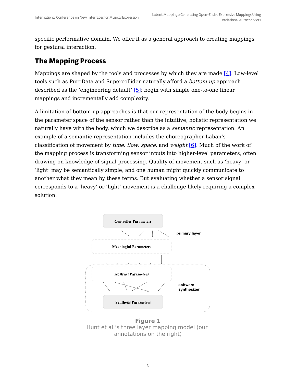specific performative domain. We offer it as a general approach to creating mappings for gestural interaction.

#### **The Mapping Process**

<span id="page-2-1"></span>Mappings are shaped by the tools and processes by which they are made  $[4]$ . Low-level tools such as PureData and Supercollider naturally afford a bottom-up approach described as the 'engineering default'  $[5]$ : begin with simple one-to-one linear mappings and incrementally add complexity.

A limitation of bottom-up approaches is that our representation of the body begins in the parameter space of the sensor rather than the intuitive, holistic representation we naturally have with the body, which we describe as a semantic representation. An example of a semantic representation includes the choreographer Laban's classification of movement by *time, flow, space*, and *weight* [\[6\].](#page-13-2) Much of the work of the mapping process is transforming sensor inputs into higher-level parameters, often drawing on knowledge of signal processing. Quality of movement such as 'heavy' or 'light' may be semantically simple, and one human might quickly communicate to another what they mean by these terms. But evaluating whether a sensor signal corresponds to a 'heavy' or 'light' movement is a challenge likely requiring a complex solution.

<span id="page-2-2"></span><span id="page-2-0"></span>

**Figure 1** Hunt et al. 's three layer mapping model (our annotations on the right)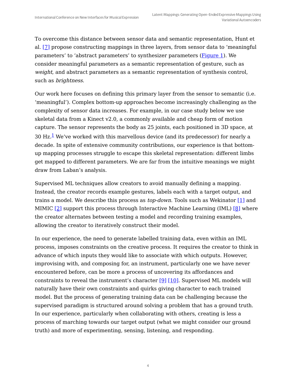<span id="page-3-1"></span>To overcome this distance between sensor data and semantic representation, Hunt et al. [\[7\]](#page-13-3) propose constructing mappings in three layers, from sensor data to 'meaningful parameters' to 'abstract parameters' to synthesizer parameters [\(Figure](#page-2-0) 1). We consider meaningful parameters as a semantic representation of gesture, such as weight, and abstract parameters as a semantic representation of synthesis control, such as brightness.

<span id="page-3-0"></span>Our work here focuses on defining this primary layer from the sensor to semantic (i.e. 'meaningful'). Complex bottom-up approaches become increasingly challenging as the complexity of sensor data increases. For example, in our case study below we use skeletal data from a Kinect v2.0, a commonly available and cheap form of motion capture. The sensor represents the body as 25 joints, each positioned in 3D space, at  $30$  Hz.<sup>[1](#page-12-2)</sup> We've worked with this marvellous device (and its predecessor) for nearly a decade. In spite of extensive community contributions, our experience is that bottomup mapping processes struggle to escape this skeletal representation: different limbs get mapped to different parameters. We are far from the intuitive meanings we might draw from Laban's analysis.

<span id="page-3-2"></span>Supervised ML techniques allow creators to avoid manually defining a mapping. Instead, the creator records example gestures, labels each with a target output, and trains a model. We describe this process as top-down. Tools such as Wekinator [\[1\]](#page-12-0) and MIMIC  $[2]$  support this process through Interactive Machine Learning (IML)  $[8]$  where the creator alternates between testing a model and recording training examples, allowing the creator to iteratively construct their model.

<span id="page-3-4"></span><span id="page-3-3"></span>In our experience, the need to generate labelled training data, even within an IML process, imposes constraints on the creative process. It requires the creator to think in advance of which inputs they would like to associate with which outputs. However, improvising with, and composing for, an instrument, particularly one we have never encountered before, can be more a process of uncovering its affordances and constraints to reveal the instrument's character [\[9\]](#page-13-5) [\[10\]](#page-13-6). Supervised ML models will naturally have their own constraints and quirks giving character to each trained model. But the process of generating training data can be challenging because the supervised paradigm is structured around solving a problem that has a ground truth. In our experience, particularly when collaborating with others, creating is less a process of marching towards our target output (what we might consider our ground truth) and more of experimenting, sensing, listening, and responding.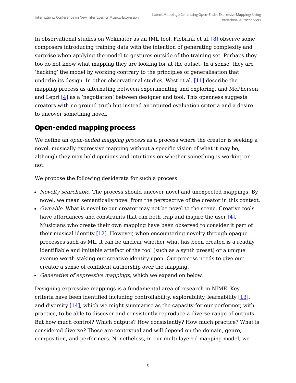<span id="page-4-0"></span>In observational studies on Wekinator as an IML tool, Fiebrink et al. [\[8\]](#page-13-4) observe some composers introducing training data with the intention of generating complexity and surprise when applying the model to gestures outside of the training set. Perhaps they too do not know what mapping they are looking for at the outset. In a sense, they are 'hacking' the model by working contrary to the principles of generalisation that underlie its design. In other observational studies, West et al. [\[11\]](#page-13-7) describe the mapping process as alternating between experimenting and exploring, and McPherson and Lepri [4] as a 'negotiation' between designer and tool. This openness suggests creators with no ground truth but instead an intuited evaluation criteria and a desire to uncover something novel.

#### **Open-ended mapping process**

We define an *open-ended mapping process* as a process where the creator is seeking a novel, musically expressive mapping without a specific vision of what it may be, although they may hold opinions and intuitions on whether something is working or not.

We propose the following desiderata for such a process:

- *Novelty searchable*. The process should uncover novel and unexpected mappings. By novel, we mean semantically novel from the perspective of the creator in this context.
- *Ownable*. What is novel to our creator may not be novel to the scene. Creative tools have affordances and constraints that can both trap and inspire the user [4]. Musicians who create their own mapping have been observed to consider it part of their musical identity  $[12]$ . However, when encountering novelty through opaque processes such as ML, it can be unclear whether what has been created is a readily identifiable and imitable artefact of the tool (such as a synth preset) or a unique avenue worth staking our creative identity upon. Our process needs to give our creator a sense of confident authorship over the mapping.
- Generative of expressive mappings, which we expand on below.

<span id="page-4-2"></span><span id="page-4-1"></span>Designing expressive mappings is a fundamental area of research in NIME. Key criteria have been identified including controllability, explorability, learnability [\[13\]](#page-13-8), and diversity  $[14]$ , which we might summarise as the capacity for our performer, with practice, to be able to discover and consistently reproduce a diverse range of outputs. But how much control? Which outputs? How consistently? How much practice? What is considered diverse? These are contextual and will depend on the domain, genre, composition, and performers. Nonetheless, in our multi-layered mapping model, we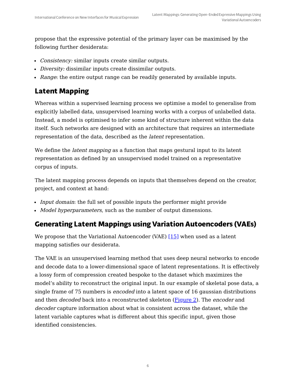propose that the expressive potential of the primary layer can be maximised by the following further desiderata:

- Consistency: similar inputs create similar outputs.
- Diversity: dissimilar inputs create dissimilar outputs.
- Range: the entire output range can be readily generated by available inputs.

### **Latent Mapping**

Whereas within a supervised learning process we optimise a model to generalise from explicitly labelled data, unsupervised learning works with a corpus of unlabelled data. Instead, a model is optimised to infer some kind of structure inherent within the data itself. Such networks are designed with an architecture that requires an intermediate representation of the data, described as the latent representation.

We define the *latent mapping* as a function that maps gestural input to its latent representation as defined by an unsupervised model trained on a representative corpus of inputs.

The latent mapping process depends on inputs that themselves depend on the creator, project, and context at hand:

- Input domain: the full set of possible inputs the performer might provide
- Model hyperparameters, such as the number of output dimensions.

#### **Generating Latent Mappings using Variation Autoencoders (VAEs)**

We propose that the Variational Autoencoder (VAE)  $[15]$  when used as a latent mapping satisfies our desiderata.

The VAE is an unsupervised learning method that uses deep neural networks to encode and decode data to a lower-dimensional space of latent representations. It is effectively a lossy form of compression created bespoke to the dataset which maximizes the model's ability to reconstruct the original input. In our example of skeletal pose data, a single frame of 75 numbers is encoded into a latent space of 16 gaussian distributions and then *decoded* back into a reconstructed skeleton ([Figure](#page-6-0) 2). The *encoder* and decoder capture information about what is consistent across the dataset, while the latent variable captures what is different about this specific input, given those identified consistencies.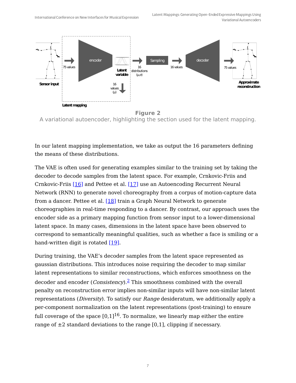<span id="page-6-0"></span>

A variational autoencoder, highlighting the section used for the latent mapping.

In our latent mapping implementation, we take as output the 16 parameters defining the means of these distributions.

<span id="page-6-4"></span><span id="page-6-3"></span><span id="page-6-2"></span>The VAE is often used for generating examples similar to the training set by taking the decoder to decode samples from the latent space. For example, Crnkovic-Friis and Crnkovic-Friis [\[16\]](#page-14-1) and Pettee et al. [\[17\]](#page-14-2) use an Autoencoding Recurrent Neural Network (RNN) to generate novel choreography from a corpus of motion-capture data from a dancer. Pettee et al.  $[18]$  train a Graph Neural Network to generate choreographies in real-time responding to a dancer. By contrast, our approach uses the encoder side as a primary mapping function from sensor input to a lower-dimensional latent space. In many cases, dimensions in the latent space have been observed to correspond to semantically meaningful qualities, such as whether a face is smiling or a hand-written digit is rotated  $[19]$ .

<span id="page-6-5"></span><span id="page-6-1"></span>During training, the VAE's decoder samples from the latent space represented as gaussian distributions. This introduces noise requiring the decoder to map similar latent representations to similar reconstructions, which enforces smoothness on the decoder and encoder (*Consistency*).  $\frac{2}{3}$  $\frac{2}{3}$  $\frac{2}{3}$  This smoothness combined with the overall penalty on reconstruction error implies non-similar inputs will have non-similar latent representations (Diversity). To satisfy our Range desideratum, we additionally apply a per-component normalization on the latent representations (post-training) to ensure full coverage of the space [0,1] $^{16}$ . To normalize, we linearly map either the entire range of  $\pm 2$  standard deviations to the range [0,1], clipping if necessary.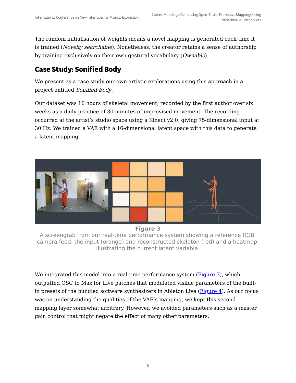The random initialisation of weights means a novel mapping is generated each time it is trained (*Novelty searchable*). Nonetheless, the creator retains a sense of authorship by training exclusively on their own gestural vocabulary (Ownable).

## **Case Study: Sonified Body**

We present as a case study our own artistic explorations using this approach in a project entitled Sonified Body.

Our dataset was 16 hours of skeletal movement, recorded by the first author over six weeks as a daily practice of 30 minutes of improvised movement. The recording occurred at the artist's studio space using a Kinect v2.0, giving 75-dimensional input at 30 Hz. We trained a VAE with a 16-dimensional latent space with this data to generate a latent mapping.

<span id="page-7-0"></span>

**Figure 3**

A screengrab from our real-time performance system showing a reference RGB camera feed, the input (orange) and reconstructed skeleton (red) and a heatmap illustrating the current latent variable.

We integrated this model into a real-time performance system ([Figure](#page-7-0) 3), which outputted OSC to Max for Live patches that modulated visible parameters of the builtin presets of the bundled software synthesizers in Ableton Live  $(\underline{Figure 4})$  $(\underline{Figure 4})$  $(\underline{Figure 4})$ . As our focus was on understanding the qualities of the VAE's mapping, we kept this second mapping layer somewhat arbitrary. However, we avoided parameters such as a master gain control that might negate the effect of many other parameters.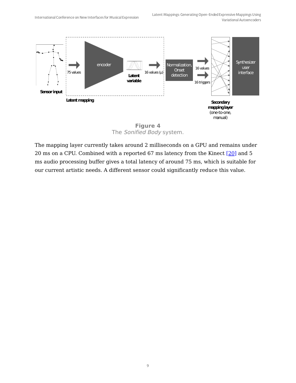<span id="page-8-0"></span>

<span id="page-8-1"></span>The Sonified Body system.

The mapping layer currently takes around 2 milliseconds on a GPU and remains under 20 ms on a CPU. Combined with a reported 67 ms latency from the Kinect [\[20\]](#page-14-5) and 5 ms audio processing buffer gives a total latency of around 75 ms, which is suitable for our current artistic needs. A different sensor could significantly reduce this value.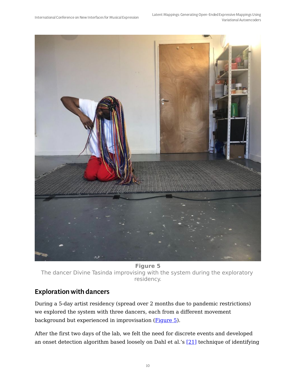<span id="page-9-0"></span>

**Figure 5** The dancer Divine Tasinda improvising with the system during the exploratory residency.

#### Exploration with dancers

During a 5-day artist residency (spread over 2 months due to pandemic restrictions) we explored the system with three dancers, each from a different movement background but experienced in improvisation ([Figure](#page-9-0) 5).

<span id="page-9-1"></span>After the first two days of the lab, we felt the need for discrete events and developed an onset detection algorithm based loosely on Dahl et al.'s  $[21]$  technique of identifying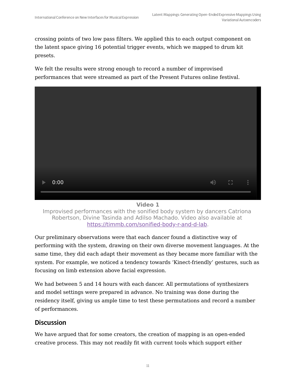crossing points of two low pass filters. We applied this to each output component on the latent space giving 16 potential trigger events, which we mapped to drum kit presets.

We felt the results were strong enough to record a number of improvised performances that were streamed as part of the Present Futures online festival.



**Video 1**

Improvised performances with the sonified body system by dancers Catriona Robertson, Divine Tasinda and Adilso Machado. Video also available at [https://timmb.com/sonified-body-r-and-d-lab](file:///tmp/tmp-51O4se3sqt8OFk.html).

Our preliminary observations were that each dancer found a distinctive way of performing with the system, drawing on their own diverse movement languages. At the same time, they did each adapt their movement as they became more familiar with the system. For example, we noticed a tendency towards 'Kinect-friendly' gestures, such as focusing on limb extension above facial expression.

We had between 5 and 14 hours with each dancer. All permutations of synthesizers and model settings were prepared in advance. No training was done during the residency itself, giving us ample time to test these permutations and record a number of performances.

#### **Discussion**

We have argued that for some creators, the creation of mapping is an open-ended creative process. This may not readily fit with current tools which support either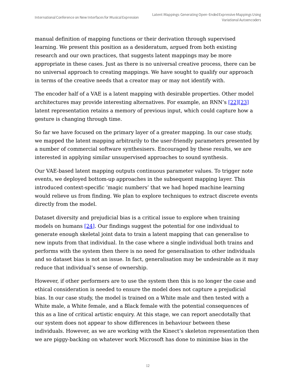manual definition of mapping functions or their derivation through supervised learning. We present this position as a desideratum, argued from both existing research and our own practices, that suggests latent mappings may be more appropriate in these cases. Just as there is no universal creative process, there can be no universal approach to creating mappings. We have sought to qualify our approach in terms of the creative needs that a creator may or may not identify with.

<span id="page-11-1"></span><span id="page-11-0"></span>The encoder half of a VAE is a latent mapping with desirable properties. Other model architectures may provide interesting alternatives. For example, an RNN's [\[22\]](#page-14-7)[\[23\]](#page-14-8) latent representation retains a memory of previous input, which could capture how a gesture is changing through time.

So far we have focused on the primary layer of a greater mapping. In our case study, we mapped the latent mapping arbitrarily to the user-friendly parameters presented by a number of commercial software synthesisers. Encouraged by these results, we are interested in applying similar unsupervised approaches to sound synthesis.

Our VAE-based latent mapping outputs continuous parameter values. To trigger note events, we deployed bottom-up approaches in the subsequent mapping layer. This introduced context-specific 'magic numbers' that we had hoped machine learning would relieve us from finding. We plan to explore techniques to extract discrete events directly from the model.

<span id="page-11-2"></span>Dataset diversity and prejudicial bias is a critical issue to explore when training models on humans  $[24]$ . Our findings suggest the potential for one individual to generate enough skeletal joint data to train a latent mapping that can generalise to new inputs from that individual. In the case where a single individual both trains and performs with the system then there is no need for generalisation to other individuals and so dataset bias is not an issue. In fact, generalisation may be undesirable as it may reduce that individual's sense of ownership.

However, if other performers are to use the system then this is no longer the case and ethical consideration is needed to ensure the model does not capture a prejudicial bias. In our case study, the model is trained on a White male and then tested with a White male, a White female, and a Black female with the potential consequences of this as a line of critical artistic enquiry. At this stage, we can report anecdotally that our system does not appear to show differences in behaviour between these individuals. However, as we are working with the Kinect's skeleton representation then we are piggy-backing on whatever work Microsoft has done to minimise bias in the

12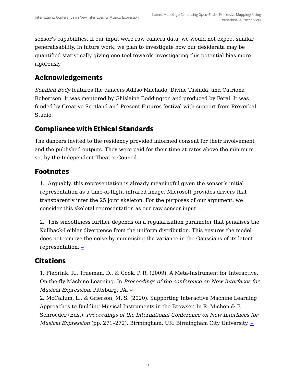sensor's capabilities. If our input were raw camera data, we would not expect similar generalisability. In future work, we plan to investigate how our desiderata may be quantified statistically giving one tool towards investigating this potential bias more rigorously.

## **Acknowledgements**

Sonified Body features the dancers Adilso Machado, Divine Tasinda, and Catriona Robertson. It was mentored by Ghislaine Boddington and produced by Feral. It was funded by Creative Scotland and Present Futures festival with support from Preverbal Studio.

#### **Compliance with Ethical Standards**

The dancers invited to the residency provided informed consent for their involvement and the published outputs. They were paid for their time at rates above the minimum set by the Independent Theatre Council.

#### **Footnotes**

<span id="page-12-2"></span>1. Arguably, this representation is already meaningful given the sensor's initial representation as a time-of-flight infrared image. Microsoft provides drivers that transparently infer the 25 joint skeleton. For the purposes of our argument, we consider this skeletal representation as our raw sensor input.  $\epsilon$ 

<span id="page-12-3"></span>2. This smoothness further depends on a regularization parameter that penalises the Kullback-Leibler divergence from the uniform distribution. This ensures the model does not remove the noise by minimising the variance in the Gaussians of its latent representation.  $\leq$ 

## **Citations**

<span id="page-12-0"></span>1. Fiebrink, R., Trueman, D., & Cook, P. R. (2009). A Meta-Instrument for Interactive, On-the-fly Machine Learning. In Proceedings of the conference on New Interfaces for *Musical Expression.* Pittsburg, PA.  $\leq$ 

<span id="page-12-1"></span>2. McCallum, L., & Grierson, M. S. (2020). Supporting Interactive Machine Learning Approaches to Building Musical Instruments in the Browser. In R. Michon & F. Schroeder (Eds.), Proceedings of the International Conference on New Interfaces for *Musical Expression* (pp. 271–272). Birmingham, UK: Birmingham City University.  $\geq$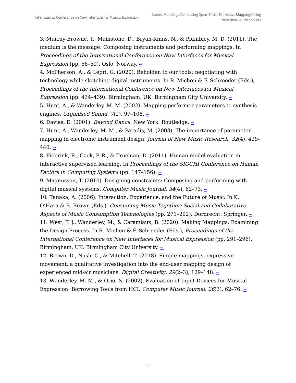<span id="page-13-0"></span>3. Murray-Browne, T., Mainstone, D., Bryan-Kinns, N., & Plumbley, M. D. (2011). The medium is the message: Composing instruments and performing mappings. In Proceedings of the International Conference on New Interfaces for Musical *Expression* (pp. 56–59). Oslo, Norway.  $\leq$ 

4. McPherson, A., & Lepri, G. (2020). Beholden to our tools: negotiating with technology while sketching digital instruments. In R. Michon & F. Schroeder (Eds.), Proceedings of the International Conference on New Interfaces for Musical *Expression* (pp. 434–439). Birmingham, UK: Birmingham City University.  $\geq$ 

<span id="page-13-1"></span>5. Hunt, A., & Wanderley, M. M. (2002). Mapping performer parameters to synthesis engines. Organised Sound, 7(2), 97-108.  $\geq$ 

<span id="page-13-2"></span>6. Davies, E. (2001). Beyond Dance. New York: Routledge.  $\epsilon$ 

<span id="page-13-3"></span>7. Hunt, A., Wanderley, M. M., & Paradis, M. (2003). The importance of parameter mapping in electronic instrument design. Journal of New Music Research, 32(4), 429– 440.  $\leftrightarrow$ 

<span id="page-13-4"></span>8. Fiebrink, R., Cook, P. R., & Trueman, D. (2011). Human model evaluation in interactive supervised learning. In Proceedings of the SIGCHI Conference on Human *Factors in Computing Systems* (pp. 147-156).  $\leq$ 

<span id="page-13-5"></span>9. Magnusson, T. (2010). Designing constraints: Composing and performing with digital musical systems. Computer Music Journal, 34(4), 62-73.  $\epsilon$ 

<span id="page-13-6"></span>10. Tanaka, A. (2006). Interaction, Experience, and the Future of Music. In K. O'Hara & B. Brown (Eds.), Consuming Music Together: Social and Collaborative Aspects of Music Consumption Technologies (pp. 271–292). Dordrecht: Springer.  $\sim$ 

<span id="page-13-7"></span>11. West, T. J., Wanderley, M., & Caramiaux, B. (2020). Making Mappings: Examining the Design Process. In R. Michon & F. Schroeder (Eds.), Proceedings of the International Conference on New Interfaces for Musical Expression (pp. 291–296). Birmingham, UK: Birmingham City University.  $\leq$ 

12. Brown, D., Nash, C., & Mitchell, T. (2018). Simple mappings, expressive movement: a qualitative investigation into the end-user mapping design of experienced mid-air musicians. Digital Creativity, 29(2-3), 129-148.  $\rightarrow$ 

<span id="page-13-8"></span>13. Wanderley, M. M., & Orio, N. (2002). Evaluation of Input Devices for Musical Expression: Borrowing Tools from HCI. Computer Music Journal, 26(3), 62-76.  $\pm$